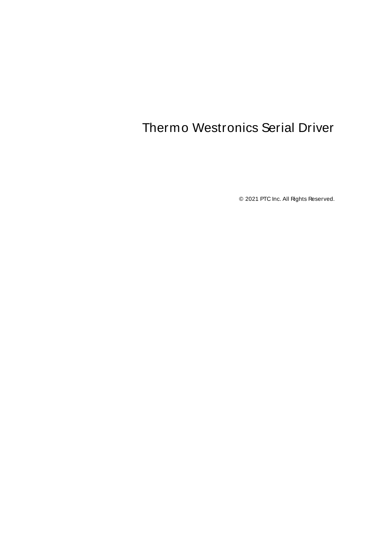# <span id="page-0-0"></span>Thermo Westronics Serial Driver

© 2021 PTC Inc. All Rights Reserved.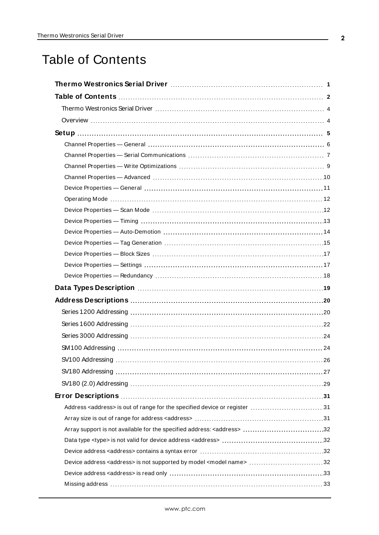# <span id="page-1-0"></span>Table of Contents

| Address <address> is out of range for the specified device or register 31</address>     |
|-----------------------------------------------------------------------------------------|
|                                                                                         |
|                                                                                         |
|                                                                                         |
|                                                                                         |
| Device address <address> is not supported by model <model name=""> 32</model></address> |
|                                                                                         |
|                                                                                         |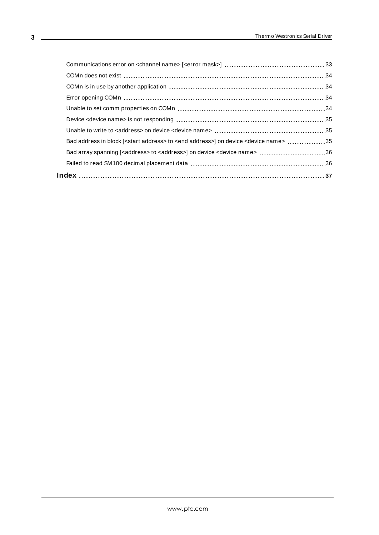| Bad address in block [ <start address=""> to <end address="">] on device <device name=""> 35</device></end></start> |  |
|---------------------------------------------------------------------------------------------------------------------|--|
| Bad array spanning [ <address> to <address>] on device <device name=""> 36</device></address></address>             |  |
|                                                                                                                     |  |
|                                                                                                                     |  |
|                                                                                                                     |  |

<u> 1980 - Johann Barbara, martxa amerikan personal (h. 1980).</u>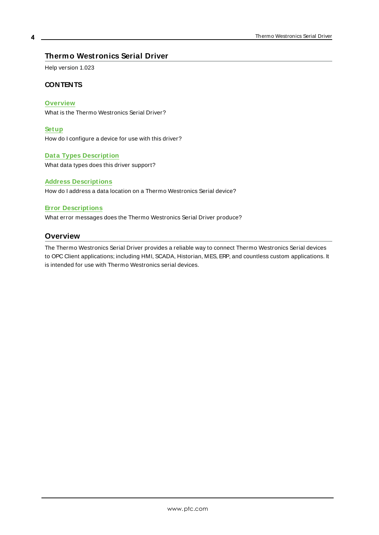### <span id="page-3-0"></span>**Thermo Westronics Serial Driver**

Help version 1.023

#### **CONTENTS**

#### **[Overview](#page-3-1)**

What is the Thermo Westronics Serial Driver?

#### **[Setup](#page-4-0)**

How do I configure a device for use with this driver?

#### **Data Types [Description](#page-18-0)**

What data types does this driver support?

#### **Address [Descriptions](#page-19-0)**

How do I address a data location on a Thermo Westronics Serial device?

#### **Error [Descriptions](#page-30-0)**

<span id="page-3-1"></span>What error messages does the Thermo Westronics Serial Driver produce?

#### **Overview**

The Thermo Westronics Serial Driver provides a reliable way to connect Thermo Westronics Serial devices to OPC Client applications; including HMI, SCADA, Historian, MES, ERP, and countless custom applications. It is intended for use with Thermo Westronics serial devices.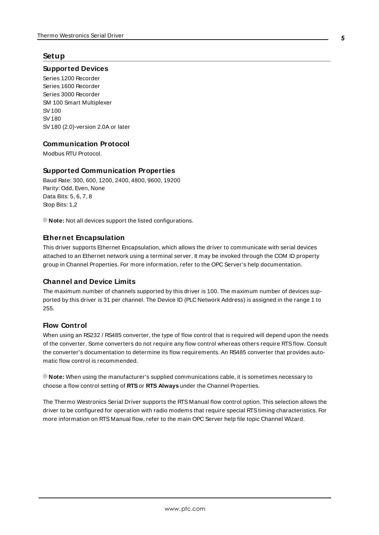#### <span id="page-4-0"></span>**Setup**

#### **Supported Devices**

Series 1200 Recorder Series 1600 Recorder Series 3000 Recorder SM 100 Smart Multiplexer SV100 SV180 SV180 (2.0)-version 2.0A or later

#### **Communication Protocol**

Modbus RTU Protocol.

#### **Supported Communication Properties**

Baud Rate: 300, 600, 1200, 2400, 4800, 9600, 19200 Parity: Odd, Even, None Data Bits: 5, 6, 7, 8 Stop Bits: 1,2

**Note:** Not all devices support the listed configurations.

#### <span id="page-4-2"></span>**Ethernet Encapsulation**

This driver supports Ethernet Encapsulation, which allows the driver to communicate with serial devices attached to an Ethernet network using a terminal server. It may be invoked through the COM ID property group in Channel Properties. For more information, refer to the OPC Server's help documentation.

#### <span id="page-4-1"></span>**Channel and Device Limits**

The maximum number of channels supported by this driver is 100. The maximum number of devices supported by this driver is 31 per channel. The Device ID (PLC Network Address) is assigned in the range 1 to 255.

#### **Flow Control**

When using an RS232 / RS485 converter, the type of flow control that is required will depend upon the needs of the converter. Some converters do not require any flow control whereas others require RTSflow. Consult the converter's documentation to determine its flow requirements. An RS485 converter that provides automatic flow control is recommended.

**Note:** When using the manufacturer's supplied communications cable, it is sometimes necessary to choose a flow control setting of **RTS**or **RTS Always** under the Channel Properties.

The Thermo Westronics Serial Driver supports the RTS Manual flow control option. This selection allows the driver to be configured for operation with radio modems that require special RTStiming characteristics. For more information on RTS Manual flow, refer to the main OPC Server help file topic Channel Wizard.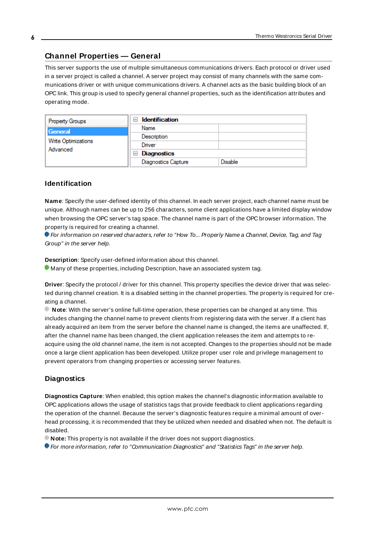#### <span id="page-5-0"></span>**Channel Properties — General**

This server supports the use of multiple simultaneous communications drivers. Each protocol or driver used in a server project is called a channel. A server project may consist of many channels with the same communications driver or with unique communications drivers. A channel acts as the basic building block of an OPC link. This group is used to specify general channel properties, such as the identification attributes and operating mode.

| <b>Property Groups</b>                     | <b>Identification</b><br>н |                |
|--------------------------------------------|----------------------------|----------------|
| General<br>Write Optimizations<br>Advanced | Name                       |                |
|                                            | Description                |                |
|                                            | Driver                     |                |
|                                            | <b>Diagnostics</b><br>н    |                |
|                                            | <b>Diagnostics Capture</b> | <b>Disable</b> |

#### **Identification**

**Name**: Specify the user-defined identity of this channel. In each server project, each channel name must be unique. Although names can be up to 256 characters, some client applications have a limited display window when browsing the OPC server's tag space. The channel name is part of the OPC browser information. The property is required for creating a channel.

For information on reserved characters, refer to "How To... Properly Name a Channel, Device, Tag, and Tag Group" in the server help.

**Description**: Specify user-defined information about this channel.

Many of these properties, including Description, have an associated system tag.

**Driver**: Specify the protocol / driver for this channel. This property specifies the device driver that was selected during channel creation. It is a disabled setting in the channel properties. The property is required for creating a channel.

**Note**: With the server's online full-time operation, these properties can be changed at any time. This includes changing the channel name to prevent clients from registering data with the server. If a client has already acquired an item from the server before the channel name is changed, the items are unaffected. If, after the channel name has been changed, the client application releases the item and attempts to reacquire using the old channel name, the item is not accepted. Changes to the properties should not be made once a large client application has been developed. Utilize proper user role and privilege management to prevent operators from changing properties or accessing server features.

#### **Diagnostics**

**Diagnostics Capture**: When enabled, this option makes the channel's diagnostic information available to OPC applications allows the usage of statistics tags that provide feedback to client applications regarding the operation of the channel. Because the server's diagnostic features require a minimal amount of overhead processing, it is recommended that they be utilized when needed and disabled when not. The default is disabled.

**Note:** This property is not available if the driver does not support diagnostics.

**• For more information, refer to "Communication Diagnostics" and "Statistics Tags" in the server help.**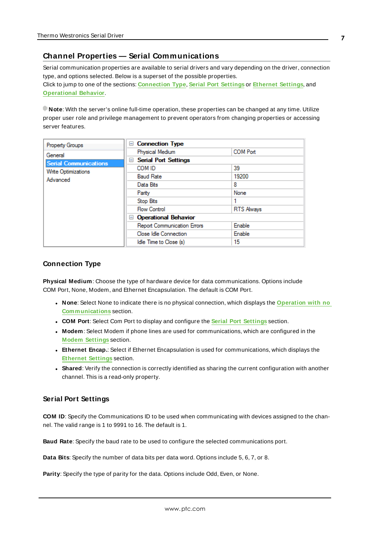#### <span id="page-6-0"></span>**Channel Properties — Serial Communications**

Serial communication properties are available to serial drivers and vary depending on the driver, connection type, and options selected. Below is a superset of the possible properties. Click to jump to one of the sections: **[Connection](#page-6-1) Type**, **Serial Port [Settings](#page-6-2)** or **[Ethernet](#page-7-0) Settings**, and **[Operational](#page-7-1) Behavior**.

**Note**: With the server's online full-time operation, these properties can be changed at any time. Utilize proper user role and privilege management to prevent operators from changing properties or accessing server features.

| Property Groups              | <b>Connection Type</b><br>$=$      |                   |
|------------------------------|------------------------------------|-------------------|
| General                      | Physical Medium                    | <b>COM Port</b>   |
| <b>Serial Communications</b> | <b>Serial Port Settings</b><br>$=$ |                   |
| Write Optimizations          | COM ID                             | 39                |
| Advanced                     | <b>Baud Rate</b>                   | 19200             |
|                              | Data Bits                          | 8                 |
|                              | Parity                             | None              |
|                              | Stop Bits                          |                   |
|                              | <b>Flow Control</b>                | <b>RTS Always</b> |
|                              | <b>Operational Behavior</b><br>н   |                   |
|                              | <b>Report Communication Errors</b> | Enable            |
|                              | Close Idle Connection              | Enable            |
|                              | Idle Time to Close (s)             | 15                |

#### <span id="page-6-1"></span>**Connection Type**

**Physical Medium**: Choose the type of hardware device for data communications. Options include COM Port, None, Modem, and Ethernet Encapsulation. The default is COM Port.

- <sup>l</sup> **None**: Select None to indicate there is no physical connection, which displays the **[Operation](#page-8-1) with no [Communications](#page-8-1)** section.
- <sup>l</sup> **COM Port**: Select Com Port to display and configure the **Serial Port [Settings](#page-6-2)** section.
- **Modem**: Select Modem if phone lines are used for communications, which are configured in the **Modem [Settings](#page-8-2)** section.
- **Ethernet Encap.**: Select if Ethernet Encapsulation is used for communications, which displays the **[Ethernet](#page-7-0) Settings** section.
- **Shared**: Verify the connection is correctly identified as sharing the current configuration with another channel. This is a read-only property.

#### <span id="page-6-2"></span>**Serial Port Settings**

**COM ID**: Specify the Communications ID to be used when communicating with devices assigned to the channel. The valid range is 1 to 9991 to 16. The default is 1.

**Baud Rate**: Specify the baud rate to be used to configure the selected communications port.

**Data Bits**: Specify the number of data bits per data word. Options include 5, 6, 7, or 8.

**Parity**: Specify the type of parity for the data. Options include Odd, Even, or None.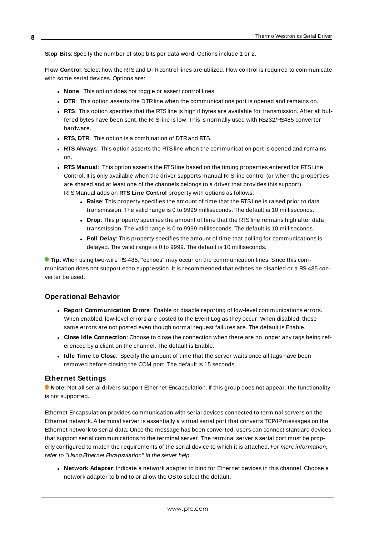**Stop Bits**: Specify the number of stop bits per data word. Options include 1 or 2.

**Flow Control**: Select how the RTSand DTRcontrol lines are utilized. Flow control is required to communicate with some serial devices. Options are:

- **None:** This option does not toggle or assert control lines.
- **DTR:** This option asserts the DTR line when the communications port is opened and remains on.
- **RTS:** This option specifies that the RTS line is high if bytes are available for transmission. After all buffered bytes have been sent, the RTSline is low. This is normally used with RS232/RS485 converter hardware.
- **RTS, DTR:** This option is a combination of DTR and RTS.
- <sup>l</sup> **RTS Always**: This option asserts the RTSline when the communication port is opened and remains on.
- <sup>l</sup> **RTS Manual**: This option asserts the RTSline based on the timing properties entered for RTSLine Control. It is only available when the driver supports manual RTSline control (or when the properties are shared and at least one of the channels belongs to a driver that provides this support). RTS Manual adds an **RTS Line Control** property with options as follows:
	- **Raise:** This property specifies the amount of time that the RTS line is raised prior to data transmission. The valid range is 0 to 9999 milliseconds. The default is 10 milliseconds.
	- **Drop**: This property specifies the amount of time that the RTS line remains high after data transmission. The valid range is 0 to 9999 milliseconds. The default is 10 milliseconds.
	- **Poll Delay**: This property specifies the amount of time that polling for communications is delayed. The valid range is 0 to 9999. The default is 10 milliseconds.

**Tip**: When using two-wire RS-485, "echoes" may occur on the communication lines. Since this communication does not support echo suppression, it is recommended that echoes be disabled or a RS-485 converter be used.

#### <span id="page-7-1"></span>**Operational Behavior**

- <sup>l</sup> **Report Communication Errors**: Enable or disable reporting of low-level communications errors. When enabled, low-level errors are posted to the Event Log as they occur. When disabled, these same errors are not posted even though normal request failures are. The default is Enable.
- <sup>l</sup> **Close Idle Connection**: Choose to close the connection when there are no longer any tags being referenced by a client on the channel. The default is Enable.
- <sup>l</sup> **Idle Time to Close**: Specify the amount of time that the server waits once all tags have been removed before closing the COM port. The default is 15 seconds.

#### <span id="page-7-0"></span>**Ethernet Settings**

**Note**: Not all serial drivers support Ethernet Encapsulation. If this group does not appear, the functionality is not supported.

Ethernet Encapsulation provides communication with serial devices connected to terminal servers on the Ethernet network. A terminal server is essentially a virtual serial port that converts TCP/IP messages on the Ethernet network to serial data. Once the message has been converted, users can connect standard devices that support serial communications to the terminal server. The terminal server's serial port must be properly configured to match the requirements of the serial device to which it is attached. For more information, refer to "Using Ethernet Encapsulation" in the server help.

**· Network Adapter**: Indicate a network adapter to bind for Ethernet devices in this channel. Choose a network adapter to bind to or allow the OSto select the default.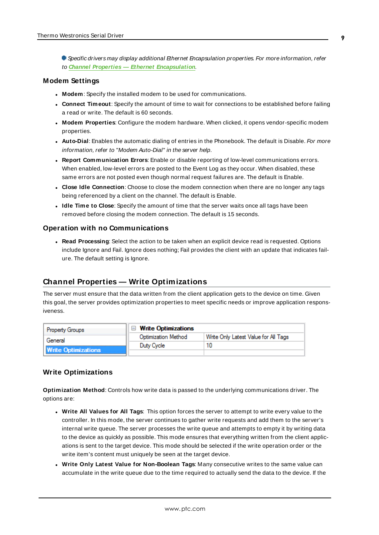Specific drivers may display additional Ethernet Encapsulation properties. For more information, refer to **Channel Properties — Ethernet Encapsulation**.

#### <span id="page-8-2"></span>**Modem Settings**

- **Modem**: Specify the installed modem to be used for communications.
- **Connect Timeout**: Specify the amount of time to wait for connections to be established before failing a read or write. The default is 60 seconds.
- <sup>l</sup> **Modem Properties**: Configure the modem hardware. When clicked, it opens vendor-specific modem properties.
- **Auto-Dial**: Enables the automatic dialing of entries in the Phonebook. The default is Disable. For more information, refer to "Modem Auto-Dial" in the server help.
- <sup>l</sup> **Report Communication Errors**: Enable or disable reporting of low-level communications errors. When enabled, low-level errors are posted to the Event Log as they occur. When disabled, these same errors are not posted even though normal request failures are. The default is Enable.
- **Close Idle Connection**: Choose to close the modem connection when there are no longer any tags being referenced by a client on the channel. The default is Enable.
- <sup>l</sup> **Idle Time to Close**: Specify the amount of time that the server waits once all tags have been removed before closing the modem connection. The default is 15 seconds.

#### <span id="page-8-1"></span>**Operation with no Communications**

**Read Processing**: Select the action to be taken when an explicit device read is requested. Options include Ignore and Fail. Ignore does nothing; Fail provides the client with an update that indicates failure. The default setting is Ignore.

#### <span id="page-8-0"></span>**Channel Properties — Write Optimizations**

The server must ensure that the data written from the client application gets to the device on time. Given this goal, the server provides optimization properties to meet specific needs or improve application responsiveness.

| <b>Property Groups</b>     | $\Box$ Write Optimizations |                                      |
|----------------------------|----------------------------|--------------------------------------|
| General                    | Optimization Method        | Write Only Latest Value for All Tags |
|                            | Duty Cycle                 |                                      |
| <b>Write Optimizations</b> |                            |                                      |

#### **Write Optimizations**

**Optimization Method**: Controls how write data is passed to the underlying communications driver. The options are:

- <sup>l</sup> **Write All Values for All Tags**: This option forces the server to attempt to write every value to the controller. In this mode, the server continues to gather write requests and add them to the server's internal write queue. The server processes the write queue and attempts to empty it by writing data to the device as quickly as possible. This mode ensures that everything written from the client applications is sent to the target device. This mode should be selected if the write operation order or the write item's content must uniquely be seen at the target device.
- <sup>l</sup> **Write Only Latest Value for Non-Boolean Tags**: Many consecutive writes to the same value can accumulate in the write queue due to the time required to actually send the data to the device. If the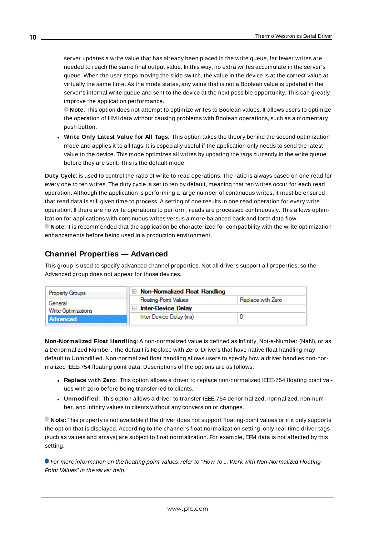server updates a write value that has already been placed in the write queue, far fewer writes are needed to reach the same final output value. In this way, no extra writes accumulate in the server's queue. When the user stops moving the slide switch, the value in the device is at the correct value at virtually the same time. As the mode states, any value that is not a Boolean value is updated in the server's internal write queue and sent to the device at the next possible opportunity. This can greatly improve the application performance.

**Note**: This option does not attempt to optimize writes to Boolean values. It allows users to optimize the operation of HMI data without causing problems with Boolean operations, such as a momentary push button.

<sup>l</sup> **Write Only Latest Value for All Tags**: This option takes the theory behind the second optimization mode and applies it to all tags. It is especially useful if the application only needs to send the latest value to the device. This mode optimizes all writes by updating the tags currently in the write queue before they are sent. This is the default mode.

**Duty Cycle**: is used to control the ratio of write to read operations. The ratio is always based on one read for every one to ten writes. The duty cycle is set to ten by default, meaning that ten writes occur for each read operation. Although the application is performing a large number of continuous writes, it must be ensured that read data is still given time to process. A setting of one results in one read operation for every write operation. If there are no write operations to perform, reads are processed continuously. This allows optimization for applications with continuous writes versus a more balanced back and forth data flow. **Note**: It is recommended that the application be characterized for compatibility with the write optimization enhancements before being used in a production environment.

## <span id="page-9-0"></span>**Channel Properties — Advanced**

This group is used to specify advanced channel properties. Not all drivers support all properties; so the Advanced group does not appear for those devices.

| Property Groups                | $\Box$ Non-Normalized Float Handling |                   |
|--------------------------------|--------------------------------------|-------------------|
| General<br>Write Optimizations | <b>Floating-Point Values</b>         | Replace with Zero |
|                                | <b>Inter-Device Delay</b>            |                   |
| Advanced                       | Inter-Device Delay (ms)              |                   |
|                                |                                      |                   |

**Non-Normalized Float Handling**: A non-normalized value is defined as Infinity, Not-a-Number (NaN), or as a Denormalized Number. The default is Replace with Zero. Drivers that have native float handling may default to Unmodified. Non-normalized float handling allows users to specify how a driver handles non-normalized IEEE-754 floating point data. Descriptions of the options are as follows:

- <sup>l</sup> **Replace with Zero**: This option allows a driver to replace non-normalized IEEE-754 floating point values with zero before being transferred to clients.
- <sup>l</sup> **Unmodified**: This option allows a driver to transfer IEEE-754 denormalized, normalized, non-number, and infinity values to clients without any conversion or changes.

**Note:** This property is not available if the driver does not support floating-point values or if it only supports the option that is displayed. According to the channel's float normalization setting, only real-time driver tags (such as values and arrays) are subject to float normalization. For example, EFM data is not affected by this setting.

For more information on the floating-point values, refer to "How To ... Work with Non-Normalized Floating-Point Values" in the server help.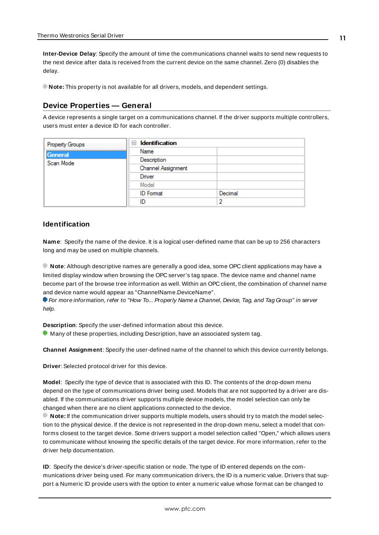**Inter-Device Delay**: Specify the amount of time the communications channel waits to send new requests to the next device after data is received from the current device on the same channel. Zero (0) disables the delay.

<span id="page-10-0"></span>**Note:** This property is not available for all drivers, models, and dependent settings.

#### **Device Properties — General**

A device represents a single target on a communications channel. If the driver supports multiple controllers, users must enter a device ID for each controller.

| Property Groups | <b>Identification</b><br>$\equiv$ |         |
|-----------------|-----------------------------------|---------|
| General         | Name                              |         |
| Scan Mode       | Description                       |         |
|                 | Channel Assignment                |         |
|                 | Driver                            |         |
|                 | Model                             |         |
|                 | <b>ID</b> Format                  | Decimal |
|                 | ID                                | 2       |

#### <span id="page-10-4"></span>**Identification**

**Name**: Specify the name of the device. It is a logical user-defined name that can be up to 256 characters long and may be used on multiple channels.

**Note**: Although descriptive names are generally a good idea, some OPC client applications may have a limited display window when browsing the OPC server's tag space. The device name and channel name become part of the browse tree information as well. Within an OPC client, the combination of channel name and device name would appear as "ChannelName.DeviceName".

For more information, refer to "How To... Properly Name a Channel, Device, Tag, and Tag Group" in server help.

**Description**: Specify the user-defined information about this device.

<span id="page-10-1"></span>**Many of these properties, including Description, have an associated system tag.** 

<span id="page-10-2"></span>**Channel Assignment**: Specify the user-defined name of the channel to which this device currently belongs.

<span id="page-10-3"></span>**Driver**: Selected protocol driver for this device.

**Model**: Specify the type of device that is associated with this ID. The contents of the drop-down menu depend on the type of communications driver being used. Models that are not supported by a driver are disabled. If the communications driver supports multiple device models, the model selection can only be changed when there are no client applications connected to the device.

**Note:** If the communication driver supports multiple models, users should try to match the model selection to the physical device. If the device is not represented in the drop-down menu, select a model that conforms closest to the target device. Some drivers support a model selection called "Open," which allows users to communicate without knowing the specific details of the target device. For more information, refer to the driver help documentation.

**ID**: Specify the device's driver-specific station or node. The type of ID entered depends on the communications driver being used. For many communication drivers, the ID is a numeric value. Drivers that support a Numeric ID provide users with the option to enter a numeric value whose format can be changed to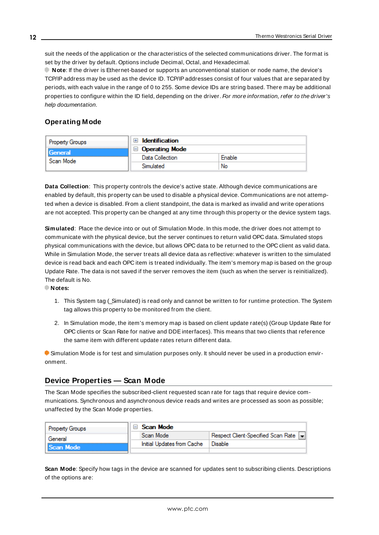<span id="page-11-3"></span>suit the needs of the application or the characteristics of the selected communications driver. The format is set by the driver by default. Options include Decimal, Octal, and Hexadecimal.

**Note**: If the driver is Ethernet-based or supports an unconventional station or node name, the device's TCP/IPaddress may be used as the device ID. TCP/IPaddresses consist of four values that are separated by periods, with each value in the range of 0 to 255. Some device IDs are string based. There may be additional properties to configure within the ID field, depending on the driver. For more information, refer to the driver's help documentation.

### <span id="page-11-0"></span>**Operating Mode**

| <b>Property Groups</b> | <b>Identification</b>        |        |
|------------------------|------------------------------|--------|
| General<br>Scan Mode   | <b>Operating Mode</b><br>a l |        |
|                        | Data Collection              | Enable |
|                        | Simulated                    | No     |

<span id="page-11-2"></span>**Data Collection**: This property controls the device's active state. Although device communications are enabled by default, this property can be used to disable a physical device. Communications are not attempted when a device is disabled. From a client standpoint, the data is marked as invalid and write operations are not accepted. This property can be changed at any time through this property or the device system tags.

<span id="page-11-5"></span>**Simulated**: Place the device into or out of Simulation Mode. In this mode, the driver does not attempt to communicate with the physical device, but the server continues to return valid OPC data. Simulated stops physical communications with the device, but allows OPC data to be returned to the OPC client as valid data. While in Simulation Mode, the server treats all device data as reflective: whatever is written to the simulated device is read back and each OPC item is treated individually. The item's memory map is based on the group Update Rate. The data is not saved if the server removes the item (such as when the server is reinitialized). The default is No.

**Notes:**

- 1. This System tag (\_Simulated) is read only and cannot be written to for runtime protection. The System tag allows this property to be monitored from the client.
- 2. In Simulation mode, the item's memory map is based on client update rate(s) (Group Update Rate for OPC clients or Scan Rate for native and DDEinterfaces). This means that two clients that reference the same item with different update rates return different data.

 Simulation Mode is for test and simulation purposes only. It should never be used in a production environment.

#### <span id="page-11-1"></span>**Device Properties — Scan Mode**

The Scan Mode specifies the subscribed-client requested scan rate for tags that require device communications. Synchronous and asynchronous device reads and writes are processed as soon as possible; unaffected by the Scan Mode properties.

| <b>Property Groups</b> | Scan Mode                  |                                      |
|------------------------|----------------------------|--------------------------------------|
| General                | Scan Mode                  | Respect Client-Specified Scan Rate v |
| Scan Mode              | Initial Updates from Cache | Disable                              |
|                        |                            |                                      |

<span id="page-11-4"></span>**Scan Mode**: Specify how tags in the device are scanned for updates sent to subscribing clients. Descriptions of the options are: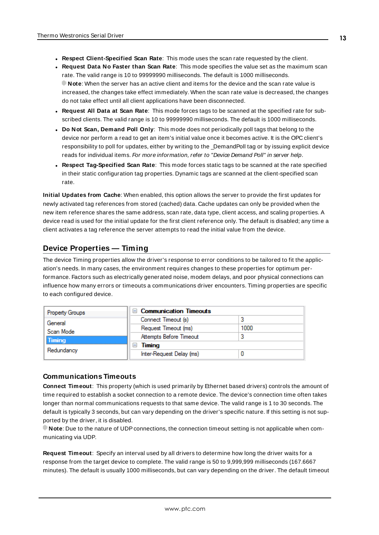- <sup>l</sup> **Respect Client-Specified Scan Rate**: This mode uses the scan rate requested by the client.
- <sup>l</sup> **Request Data No Faster than Scan Rate**: This mode specifies the value set as the maximum scan rate. The valid range is 10 to 99999990 milliseconds. The default is 1000 milliseconds. **Note**: When the server has an active client and items for the device and the scan rate value is increased, the changes take effect immediately. When the scan rate value is decreased, the changes do not take effect until all client applications have been disconnected.
- <sup>l</sup> **Request All Data at Scan Rate**: This mode forces tags to be scanned at the specified rate for subscribed clients. The valid range is 10 to 99999990 milliseconds. The default is 1000 milliseconds.
- <span id="page-12-3"></span><sup>l</sup> **Do Not Scan, Demand Poll Only**: This mode does not periodically poll tags that belong to the device nor perform a read to get an item's initial value once it becomes active. It is the OPC client's responsibility to poll for updates, either by writing to the \_DemandPoll tag or by issuing explicit device reads for individual items. For more information, refer to "Device Demand Poll" in server help.
- <span id="page-12-5"></span><sup>l</sup> **Respect Tag-Specified Scan Rate**: This mode forces static tags to be scanned at the rate specified in their static configuration tag properties. Dynamic tags are scanned at the client-specified scan rate.

<span id="page-12-4"></span>**Initial Updates from Cache**: When enabled, this option allows the server to provide the first updates for newly activated tag references from stored (cached) data. Cache updates can only be provided when the new item reference shares the same address, scan rate, data type, client access, and scaling properties. A device read is used for the initial update for the first client reference only. The default is disabled; any time a client activates a tag reference the server attempts to read the initial value from the device.

## <span id="page-12-1"></span><span id="page-12-0"></span>**Device Properties — Timing**

The device Timing properties allow the driver's response to error conditions to be tailored to fit the application's needs. In many cases, the environment requires changes to these properties for optimum performance. Factors such as electrically generated noise, modem delays, and poor physical connections can influence how many errors or timeouts a communications driver encounters. Timing properties are specific to each configured device.

| <b>Property Groups</b> | <b>Communication Timeouts</b><br>$\blacksquare$ |      |
|------------------------|-------------------------------------------------|------|
| General<br>Scan Mode   | Connect Timeout (s)                             |      |
|                        | Request Timeout (ms)                            | 1000 |
| <b>Timing</b>          | Attempts Before Timeout                         |      |
| Redundancy             | Timing<br>$\overline{}$                         |      |
|                        | Inter-Request Delay (ms)                        |      |

#### <span id="page-12-2"></span>**Communications Timeouts**

**Connect Timeout**: This property (which is used primarily by Ethernet based drivers) controls the amount of time required to establish a socket connection to a remote device. The device's connection time often takes longer than normal communications requests to that same device. The valid range is 1 to 30 seconds. The default is typically 3 seconds, but can vary depending on the driver's specific nature. If this setting is not supported by the driver, it is disabled.

**Note**: Due to the nature of UDPconnections, the connection timeout setting is not applicable when communicating via UDP.

**Request Timeout**: Specify an interval used by all drivers to determine how long the driver waits for a response from the target device to complete. The valid range is 50 to 9,999,999 milliseconds (167.6667 minutes). The default is usually 1000 milliseconds, but can vary depending on the driver. The default timeout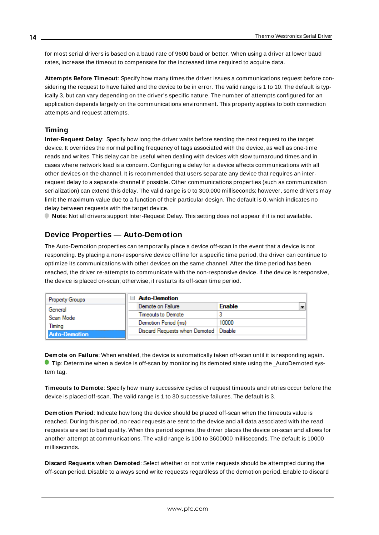<span id="page-13-5"></span>for most serial drivers is based on a baud rate of 9600 baud or better. When using a driver at lower baud rates, increase the timeout to compensate for the increased time required to acquire data.

<span id="page-13-1"></span>**Attempts Before Timeout**: Specify how many times the driver issues a communications request before considering the request to have failed and the device to be in error. The valid range is 1 to 10. The default is typically 3, but can vary depending on the driver's specific nature. The number of attempts configured for an application depends largely on the communications environment. This property applies to both connection attempts and request attempts.

### <span id="page-13-4"></span>**Timing**

**Inter-Request Delay**: Specify how long the driver waits before sending the next request to the target device. It overrides the normal polling frequency of tags associated with the device, as well as one-time reads and writes. This delay can be useful when dealing with devices with slow turnaround times and in cases where network load is a concern. Configuring a delay for a device affects communications with all other devices on the channel. It is recommended that users separate any device that requires an interrequest delay to a separate channel if possible. Other communications properties (such as communication serialization) can extend this delay. The valid range is 0 to 300,000 milliseconds; however, some drivers may limit the maximum value due to a function of their particular design. The default is 0, which indicates no delay between requests with the target device.

<span id="page-13-0"></span>**Note**: Not all drivers support Inter-Request Delay. This setting does not appear if it is not available.

## **Device Properties — Auto-Demotion**

The Auto-Demotion properties can temporarily place a device off-scan in the event that a device is not responding. By placing a non-responsive device offline for a specific time period, the driver can continue to optimize its communications with other devices on the same channel. After the time period has been reached, the driver re-attempts to communicate with the non-responsive device. If the device is responsive, the device is placed on-scan; otherwise, it restarts its off-scan time period.

|  | <b>Property Groups</b> | $\Box$ Auto-Demotion                    |                                           |
|--|------------------------|-----------------------------------------|-------------------------------------------|
|  | General                | Demote on Failure                       | $\overline{\phantom{0}}$<br><b>Enable</b> |
|  | Scan Mode              | Timeouts to Demote                      |                                           |
|  | Timina                 | Demotion Period (ms)                    | 10000                                     |
|  | Auto-Demotion          | Discard Requests when Demoted   Disable |                                           |
|  |                        |                                         |                                           |

<span id="page-13-2"></span>**Demote on Failure**: When enabled, the device is automatically taken off-scan until it is responding again. **Tip:** Determine when a device is off-scan by monitoring its demoted state using the \_AutoDemoted system tag.

<span id="page-13-6"></span>**Timeouts to Demote**: Specify how many successive cycles of request timeouts and retries occur before the device is placed off-scan. The valid range is 1 to 30 successive failures. The default is 3.

<span id="page-13-3"></span>**Demotion Period**: Indicate how long the device should be placed off-scan when the timeouts value is reached. During this period, no read requests are sent to the device and all data associated with the read requests are set to bad quality. When this period expires, the driver places the device on-scan and allows for another attempt at communications. The valid range is 100 to 3600000 milliseconds. The default is 10000 milliseconds.

**Discard Requests when Demoted**: Select whether or not write requests should be attempted during the off-scan period. Disable to always send write requests regardless of the demotion period. Enable to discard

**14**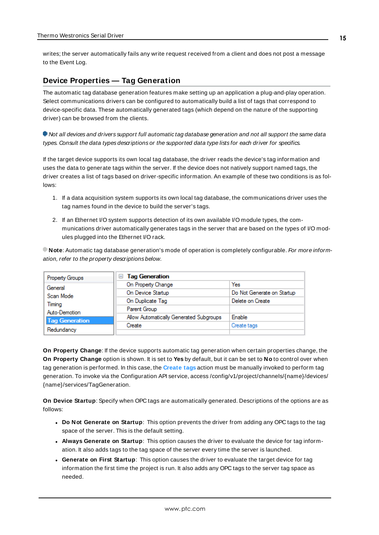<span id="page-14-1"></span>writes; the server automatically fails any write request received from a client and does not post a message to the Event Log.

#### <span id="page-14-0"></span>**Device Properties — Tag Generation**

The automatic tag database generation features make setting up an application a plug-and-play operation. Select communications drivers can be configured to automatically build a list of tags that correspond to device-specific data. These automatically generated tags (which depend on the nature of the supporting driver) can be browsed from the clients.

Not all devices and drivers support full automatic tag database generation and not all support the same data types. Consult the data types descriptions or the supported data type lists for each driver for specifics.

If the target device supports its own local tag database, the driver reads the device's tag information and uses the data to generate tags within the server. If the device does not natively support named tags, the driver creates a list of tags based on driver-specific information. An example of these two conditions is as follows:

- 1. If a data acquisition system supports its own local tag database, the communications driver uses the tag names found in the device to build the server's tags.
- 2. If an Ethernet I/O system supports detection of its own available I/O module types, the communications driver automatically generates tags in the server that are based on the types of I/O modules plugged into the Ethernet I/O rack.

**Note**: Automatic tag database generation's mode of operation is completely configurable. For more information, refer to the property descriptions below.

| Property Groups       | <b>Tag Generation</b><br>$=$            |                            |
|-----------------------|-----------------------------------------|----------------------------|
| General               | On Property Change                      | Yes                        |
| Scan Mode             | On Device Startup                       | Do Not Generate on Startup |
| Timina                | On Duplicate Tag                        | Delete on Create           |
| Auto-Demotion         | Parent Group                            |                            |
| <b>Tag Generation</b> | Allow Automatically Generated Subgroups | Enable                     |
|                       | Create                                  | Create tags                |
| Redundancy            |                                         |                            |

<span id="page-14-4"></span>**On Property Change**: If the device supports automatic tag generation when certain properties change, the **On Property Change** option is shown. It is set to **Yes** by default, but it can be set to **No** to control over when tag generation is performed. In this case, the **Create tags** action must be manually invoked to perform tag generation. To invoke via the Configuration API service, access /config/v1/project/channels/{name}/devices/ {name}/services/TagGeneration.

<span id="page-14-3"></span>**On Device Startup**: Specify when OPC tags are automatically generated. Descriptions of the options are as follows:

- <span id="page-14-2"></span><sup>l</sup> **Do Not Generate on Startup**: This option prevents the driver from adding any OPC tags to the tag space of the server. This is the default setting.
- <sup>l</sup> **Always Generate on Startup**: This option causes the driver to evaluate the device for tag information. It also adds tags to the tag space of the server every time the server is launched.
- <sup>l</sup> **Generate on First Startup**: This option causes the driver to evaluate the target device for tag information the first time the project is run. It also adds any OPC tags to the server tag space as needed.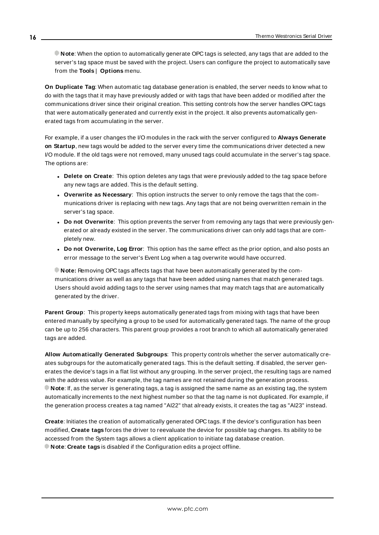**Note**: When the option to automatically generate OPC tags is selected, any tags that are added to the server's tag space must be saved with the project. Users can configure the project to automatically save from the **Tools** | **Options** menu.

<span id="page-15-3"></span>**On Duplicate Tag**: When automatic tag database generation is enabled, the server needs to know what to do with the tags that it may have previously added or with tags that have been added or modified after the communications driver since their original creation. This setting controls how the server handles OPC tags that were automatically generated and currently exist in the project. It also prevents automatically generated tags from accumulating in the server.

For example, if a user changes the I/O modules in the rack with the server configured to **Always Generate on Startup**, new tags would be added to the server every time the communications driver detected a new I/O module. If the old tags were not removed, many unused tags could accumulate in the server's tag space. The options are:

- <span id="page-15-2"></span>**• Delete on Create**: This option deletes any tags that were previously added to the tag space before any new tags are added. This is the default setting.
- <span id="page-15-4"></span><sup>l</sup> **Overwrite as Necessary**: This option instructs the server to only remove the tags that the communications driver is replacing with new tags. Any tags that are not being overwritten remain in the server's tag space.
- <sup>l</sup> **Do not Overwrite**: This option prevents the server from removing any tags that were previously generated or already existed in the server. The communications driver can only add tags that are completely new.
- <sup>l</sup> **Do not Overwrite, Log Error**: This option has the same effect as the prior option, and also posts an error message to the server's Event Log when a tag overwrite would have occurred.

**Note:** Removing OPC tags affects tags that have been automatically generated by the communications driver as well as any tags that have been added using names that match generated tags. Users should avoid adding tags to the server using names that may match tags that are automatically generated by the driver.

<span id="page-15-5"></span>**Parent Group**: This property keeps automatically generated tags from mixing with tags that have been entered manually by specifying a group to be used for automatically generated tags. The name of the group can be up to 256 characters. This parent group provides a root branch to which all automatically generated tags are added.

<span id="page-15-0"></span>**Allow Automatically Generated Subgroups**: This property controls whether the server automatically creates subgroups for the automatically generated tags. This is the default setting. If disabled, the server generates the device's tags in a flat list without any grouping. In the server project, the resulting tags are named with the address value. For example, the tag names are not retained during the generation process. **Note**: If, as the server is generating tags, a tag is assigned the same name as an existing tag, the system automatically increments to the next highest number so that the tag name is not duplicated. For example, if the generation process creates a tag named "AI22" that already exists, it creates the tag as "AI23" instead.

<span id="page-15-1"></span>**Create**: Initiates the creation of automatically generated OPC tags. If the device's configuration has been modified, **Create tags** forces the driver to reevaluate the device for possible tag changes. Its ability to be accessed from the System tags allows a client application to initiate tag database creation. **Note**: **Create tags** is disabled if the Configuration edits a project offline.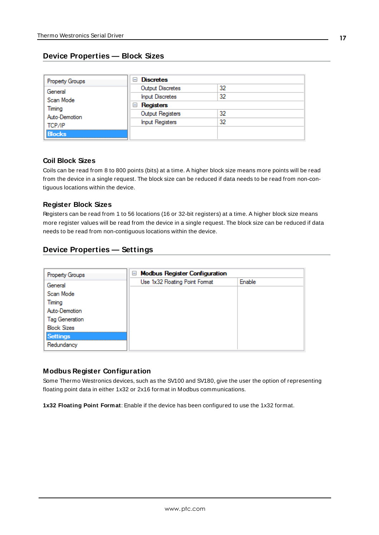## <span id="page-16-0"></span>**Device Properties — Block Sizes**

| Property Groups                   | <b>Discretes</b><br>н  |    |  |
|-----------------------------------|------------------------|----|--|
| General                           | Output Discretes       | 32 |  |
| Scan Mode                         | <b>Input Discretes</b> | 32 |  |
| Timing<br>Auto-Demotion<br>TCP/IP | Registers<br>ь         |    |  |
|                                   | Output Registers       | 32 |  |
|                                   | <b>Input Registers</b> | 32 |  |
| <b>Blocks</b>                     |                        |    |  |

#### **Coil Block Sizes**

Coils can be read from 8 to 800 points (bits) at a time. A higher block size means more points will be read from the device in a single request. The block size can be reduced if data needs to be read from non-contiguous locations within the device.

#### **Register Block Sizes**

Registers can be read from 1 to 56 locations (16 or 32-bit registers) at a time. A higher block size means more register values will be read from the device in a single request. The block size can be reduced if data needs to be read from non-contiguous locations within the device.

## <span id="page-16-1"></span>**Device Properties — Settings**

| Property Groups       | <b>Modbus Register Configuration</b><br>$=$ |        |  |
|-----------------------|---------------------------------------------|--------|--|
| General               | Use 1x32 Floating Point Format              | Enable |  |
| Scan Mode             |                                             |        |  |
| Timing                |                                             |        |  |
| Auto-Demotion         |                                             |        |  |
| <b>Tag Generation</b> |                                             |        |  |
| <b>Block Sizes</b>    |                                             |        |  |
| <b>Settings</b>       |                                             |        |  |
| Redundancy            |                                             |        |  |

#### **Modbus Register Configuration**

Some Thermo Westronics devices, such as the SV100 and SV180, give the user the option of representing floating point data in either 1x32 or 2x16 format in Modbus communications.

**1x32 Floating Point Format**: Enable if the device has been configured to use the 1x32 format.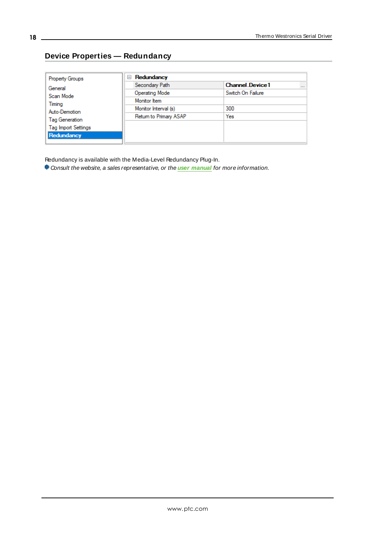## <span id="page-17-0"></span>**Device Properties — Redundancy**

| <b>Property Groups</b>     | Redundancy<br>$=$      |                                    |
|----------------------------|------------------------|------------------------------------|
| General                    | Secondary Path         | <b>Channel Device1</b><br>$\cdots$ |
| Scan Mode                  | Operating Mode         | Switch On Failure                  |
| Timing                     | Monitor Item           |                                    |
| Auto-Demotion              | Monitor Interval (s)   | 300                                |
| Tag Generation             | Return to Primary ASAP | Yes                                |
| <b>Tag Import Settings</b> |                        |                                    |
| Redundancy                 |                        |                                    |
|                            |                        |                                    |

Redundancy is available with the Media-Level Redundancy Plug-In.

Consult the website, a sales representative, or the **user [manual](https://www.kepware.com/getattachment/35461efd-b53a-4219-a109-a89fad20b230/media-level-redundancy-manual.pdf)** for more information.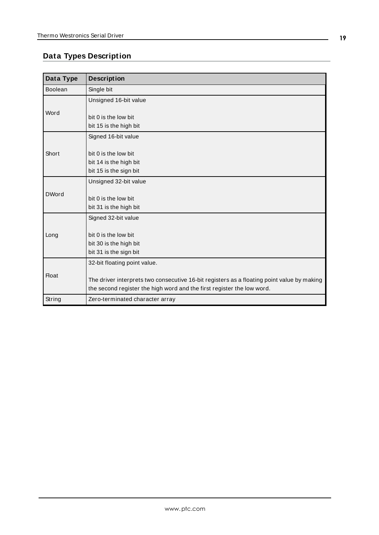## <span id="page-18-0"></span>**Data Types Description**

<span id="page-18-7"></span><span id="page-18-6"></span><span id="page-18-5"></span><span id="page-18-4"></span><span id="page-18-3"></span><span id="page-18-2"></span><span id="page-18-1"></span>

| Data Type    | <b>Description</b>                                                                                                                                                   |
|--------------|----------------------------------------------------------------------------------------------------------------------------------------------------------------------|
| Boolean      | Single bit                                                                                                                                                           |
|              | Unsigned 16-bit value                                                                                                                                                |
| Word         | bit 0 is the low bit<br>bit 15 is the high bit                                                                                                                       |
|              | Signed 16-bit value                                                                                                                                                  |
| Short        | bit 0 is the low bit<br>bit 14 is the high bit<br>bit 15 is the sign bit                                                                                             |
|              | Unsigned 32-bit value                                                                                                                                                |
| <b>DWord</b> | bit 0 is the low bit<br>bit 31 is the high bit                                                                                                                       |
|              | Signed 32-bit value                                                                                                                                                  |
| Long         | bit 0 is the low bit<br>bit 30 is the high bit<br>bit 31 is the sign bit                                                                                             |
|              | 32-bit floating point value.                                                                                                                                         |
| <b>Float</b> | The driver interprets two consecutive 16-bit registers as a floating point value by making<br>the second register the high word and the first register the low word. |
| String       | Zero-terminated character array                                                                                                                                      |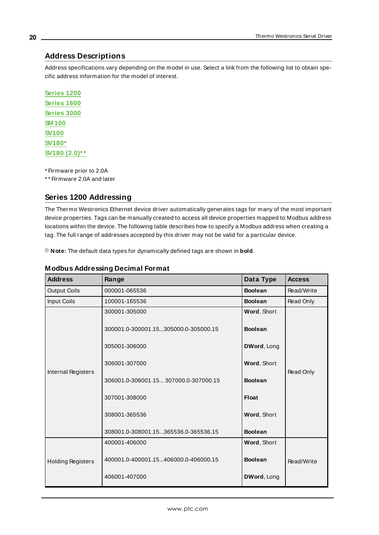### <span id="page-19-0"></span>**Address Descriptions**

Address specifications vary depending on the model in use. Select a link from the following list to obtain specific address information for the model of interest.

**[Series](#page-19-1) 1200 [Series](#page-21-0) 1600 [Series](#page-23-0) 3000 [SM 100](#page-23-1) [SV100](#page-25-0) [SV180\\*](#page-26-0) SV180 [\(2.0\)\\*\\*](#page-28-0)**

\* Firmware prior to 2.0A

<span id="page-19-1"></span>\* \* Firmware 2.0A and later

## **Series 1200 Addressing**

The Thermo Westronics Ethernet device driver automatically generates tags for many of the most important device properties. Tags can be manually created to access all device properties mapped to Modbus address locations within the device. The following table describes how to specify a Modbus address when creating a tag. The full range of addresses accepted by this driver may not be valid for a particular device.

**Note:** The default data types for dynamically defined tags are shown in **bold**.

| <b>Address</b>           | Range                                 | Data Type      | <b>Access</b> |
|--------------------------|---------------------------------------|----------------|---------------|
| <b>Output Coils</b>      | 000001-065536                         | <b>Boolean</b> | Read/Write    |
| Input Coils              | 100001-165536                         | <b>Boolean</b> | Read Only     |
|                          | 300001-305000                         | Word, Short    |               |
|                          | 300001.0-300001.15305000.0-305000.15  | <b>Boolean</b> |               |
|                          | 305001-306000                         | DWord, Long    |               |
| Internal Registers       | 306001-307000                         | Word, Short    | Read Only     |
|                          | 306001.0-306001.15 307000.0-307000.15 | <b>Boolean</b> |               |
|                          | 307001-308000                         | <b>Float</b>   |               |
|                          | 308001-365536                         | Word, Short    |               |
|                          | 308001.0-308001.15365536.0-365536.15  | <b>Boolean</b> |               |
| <b>Holding Registers</b> | 400001-406000                         | Word, Short    |               |
|                          | 400001.0-400001.15406000.0-406000.15  | <b>Boolean</b> | Read/Write    |
|                          | 406001-407000                         | DWord, Long    |               |

#### **Modbus Addressing Decimal Format**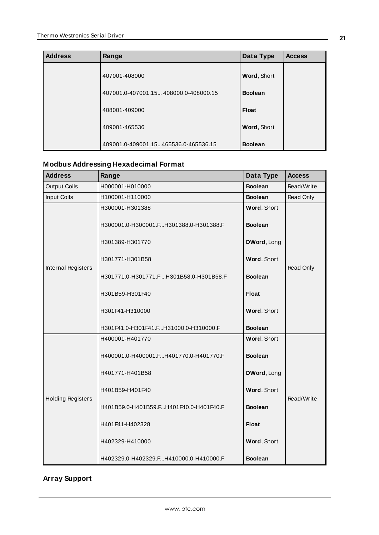| <b>Address</b> | Range                                 | Data Type      | <b>Access</b> |
|----------------|---------------------------------------|----------------|---------------|
|                | 407001-408000                         | Word, Short    |               |
|                | 407001.0-407001.15 408000.0-408000.15 | <b>Boolean</b> |               |
|                | 408001-409000                         | Float          |               |
|                | 409001-465536                         | Word, Short    |               |
|                | 409001.0-409001.15465536.0-465536.15  | <b>Boolean</b> |               |

## **Modbus Addressing Hexadecimal Format**

| <b>Address</b>           | Range                                                     | Data Type                     | <b>Access</b> |
|--------------------------|-----------------------------------------------------------|-------------------------------|---------------|
| <b>Output Coils</b>      | H000001-H010000                                           | <b>Boolean</b>                | Read/Write    |
| Input Coils              | H100001-H110000                                           | <b>Boolean</b>                | Read Only     |
|                          | H300001-H301388<br>H300001.0-H300001.FH301388.0-H301388.F | Word, Short<br><b>Boolean</b> |               |
|                          | H301389-H301770                                           | DWord, Long                   |               |
| Internal Registers       | H301771-H301B58                                           | Word, Short                   | Read Only     |
|                          | H301771.0-H301771.FH301B58.0-H301B58.F                    | <b>Boolean</b>                |               |
|                          | H301B59-H301F40                                           | <b>Float</b>                  |               |
|                          | H301F41-H310000                                           | Word, Short                   |               |
|                          | H301F41.0-H301F41.FH31000.0-H310000.F                     | <b>Boolean</b>                |               |
|                          | H400001-H401770                                           | Word, Short                   |               |
|                          | H400001.0-H400001.FH401770.0-H401770.F                    | <b>Boolean</b>                |               |
|                          | H401771-H401B58                                           | DWord, Long                   |               |
| <b>Holding Registers</b> | H401B59-H401F40                                           | Word, Short                   | Read/Write    |
|                          | H401B59.0-H401B59.FH401F40.0-H401F40.F                    | <b>Boolean</b>                |               |
|                          | H401F41-H402328                                           | <b>Float</b>                  |               |
|                          | H402329-H410000                                           | Word, Short                   |               |
|                          | H402329.0-H402329.FH410000.0-H410000.F                    | <b>Boolean</b>                |               |

## **Array Support**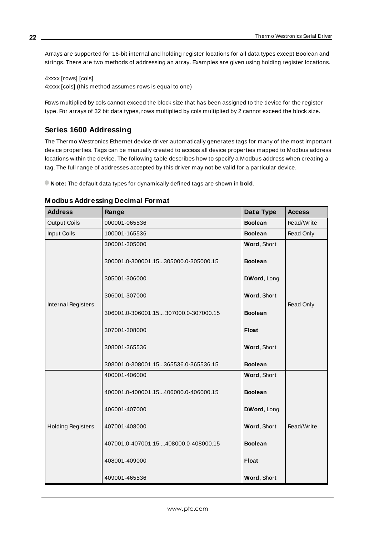Arrays are supported for 16-bit internal and holding register locations for all data types except Boolean and strings. There are two methods of addressing an array. Examples are given using holding register locations.

4xxxx [rows] [cols] 4xxxx [cols] (this method assumes rows is equal to one)

Rows multiplied by cols cannot exceed the block size that has been assigned to the device for the register type. For arrays of 32 bit data types, rows multiplied by cols multiplied by 2 cannot exceed the block size.

## <span id="page-21-0"></span>**Series 1600 Addressing**

The Thermo Westronics Ethernet device driver automatically generates tags for many of the most important device properties. Tags can be manually created to access all device properties mapped to Modbus address locations within the device. The following table describes how to specify a Modbus address when creating a tag. The full range of addresses accepted by this driver may not be valid for a particular device.

**Note:** The default data types for dynamically defined tags are shown in **bold**.

| <b>Address</b>           | Range                                 | Data Type      | <b>Access</b> |
|--------------------------|---------------------------------------|----------------|---------------|
| <b>Output Coils</b>      | 000001-065536                         | <b>Boolean</b> | Read/Write    |
| <b>Input Coils</b>       | 100001-165536                         | <b>Boolean</b> | Read Only     |
|                          | 300001-305000                         | Word, Short    |               |
|                          | 300001.0-300001.15305000.0-305000.15  | <b>Boolean</b> |               |
|                          | 305001-306000                         | DWord, Long    |               |
| Internal Registers       | 306001-307000                         | Word, Short    | Read Only     |
|                          | 306001.0-306001.15 307000.0-307000.15 | <b>Boolean</b> |               |
|                          | 307001-308000                         | <b>Float</b>   |               |
|                          | 308001-365536                         | Word, Short    |               |
|                          | 308001.0-308001.15365536.0-365536.15  | <b>Boolean</b> |               |
|                          | 400001-406000                         | Word, Short    |               |
|                          | 400001.0-400001.15406000.0-406000.15  | <b>Boolean</b> |               |
|                          | 406001-407000                         | DWord, Long    |               |
| <b>Holding Registers</b> | 407001-408000                         | Word, Short    | Read/Write    |
|                          | 407001.0-407001.15 408000.0-408000.15 | <b>Boolean</b> |               |
|                          | 408001-409000                         | <b>Float</b>   |               |
|                          | 409001-465536                         | Word, Short    |               |

#### **Modbus Addressing Decimal Format**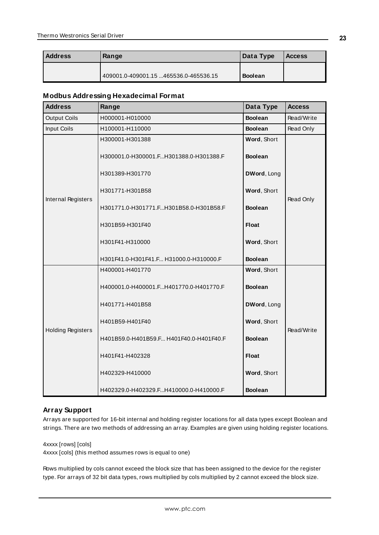| Address | Range                                 | Data Type      | <b>Access</b> |
|---------|---------------------------------------|----------------|---------------|
|         |                                       |                |               |
|         | 409001.0-409001.15 465536.0-465536.15 | <b>Boolean</b> |               |

#### **Modbus Addressing Hexadecimal Format**

| <b>Address</b>           | Range                                   | Data Type      | <b>Access</b> |
|--------------------------|-----------------------------------------|----------------|---------------|
| <b>Output Coils</b>      | H000001-H010000                         | <b>Boolean</b> | Read/Write    |
| <b>Input Coils</b>       | H100001-H110000                         | <b>Boolean</b> | Read Only     |
|                          | H300001-H301388                         | Word, Short    |               |
|                          | H300001.0-H300001.FH301388.0-H301388.F  | <b>Boolean</b> |               |
|                          | H301389-H301770                         | DWord, Long    |               |
| Internal Registers       | H301771-H301B58                         | Word, Short    | Read Only     |
|                          | H301771.0-H301771.FH301B58.0-H301B58.F  | <b>Boolean</b> |               |
|                          | H301B59-H301F40                         | <b>Float</b>   |               |
|                          | H301F41-H310000                         | Word, Short    |               |
|                          | H301F41.0-H301F41.F H31000.0-H310000.F  | <b>Boolean</b> |               |
|                          | H400001-H401770                         | Word, Short    |               |
|                          | H400001.0-H400001.FH401770.0-H401770.F  | <b>Boolean</b> |               |
|                          | H401771-H401B58                         | DWord, Long    |               |
| <b>Holding Registers</b> | H401B59-H401F40                         | Word, Short    | Read/Write    |
|                          | H401B59.0-H401B59.F H401F40.0-H401F40.F | <b>Boolean</b> |               |
|                          | H401F41-H402328                         | <b>Float</b>   |               |
|                          | H402329-H410000                         | Word, Short    |               |
|                          | H402329.0-H402329.FH410000.0-H410000.F  | <b>Boolean</b> |               |

#### **Array Support**

Arrays are supported for 16-bit internal and holding register locations for all data types except Boolean and strings. There are two methods of addressing an array. Examples are given using holding register locations.

4xxxx [rows] [cols]

4xxxx [cols] (this method assumes rows is equal to one)

Rows multiplied by cols cannot exceed the block size that has been assigned to the device for the register type. For arrays of 32 bit data types, rows multiplied by cols multiplied by 2 cannot exceed the block size.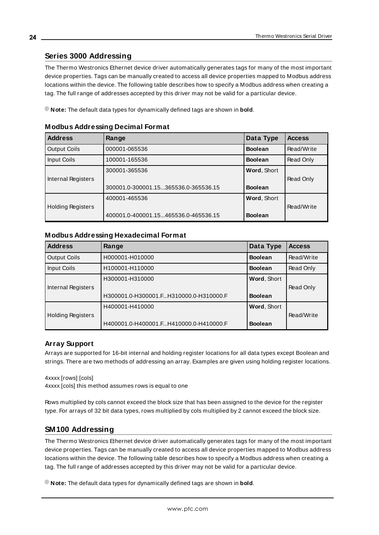### <span id="page-23-0"></span>**Series 3000 Addressing**

The Thermo Westronics Ethernet device driver automatically generates tags for many of the most important device properties. Tags can be manually created to access all device properties mapped to Modbus address locations within the device. The following table describes how to specify a Modbus address when creating a tag. The full range of addresses accepted by this driver may not be valid for a particular device.

**Note:** The default data types for dynamically defined tags are shown in **bold**.

| <b>Address</b>           | Range                                | Data Type      | <b>Access</b> |
|--------------------------|--------------------------------------|----------------|---------------|
| <b>Output Coils</b>      | 000001-065536                        | <b>Boolean</b> | Read/Write    |
| Input Coils              | 100001-165536                        | <b>Boolean</b> | Read Only     |
|                          | 300001-365536                        | Word, Short    |               |
| Internal Registers       |                                      |                | Read Only     |
|                          | 300001.0-300001.15365536.0-365536.15 | <b>Boolean</b> |               |
|                          | 400001-465536                        | Word, Short    |               |
| <b>Holding Registers</b> |                                      |                | Read/Write    |
|                          | 400001.0-400001.15465536.0-465536.15 | <b>Boolean</b> |               |

#### **Modbus Addressing Decimal Format**

#### **Modbus Addressing Hexadecimal Format**

| <b>Address</b>           | Range                                  | Data Type      | <b>Access</b> |
|--------------------------|----------------------------------------|----------------|---------------|
| <b>Output Coils</b>      | H000001-H010000                        | <b>Boolean</b> | Read/Write    |
| Input Coils              | H100001-H110000                        | <b>Boolean</b> | Read Only     |
|                          | H300001-H310000                        | Word, Short    |               |
| Internal Registers       |                                        |                | Read Only     |
|                          | H300001.0-H300001.FH310000.0-H310000.F | <b>Boolean</b> |               |
|                          | H400001-H410000                        | Word, Short    |               |
| <b>Holding Registers</b> |                                        |                | Read/Write    |
|                          | H400001.0-H400001.FH410000.0-H410000.F | <b>Boolean</b> |               |

#### **Array Support**

Arrays are supported for 16-bit internal and holding register locations for all data types except Boolean and strings. There are two methods of addressing an array. Examples are given using holding register locations.

4xxxx [rows] [cols] 4xxxx [cols] this method assumes rows is equal to one

Rows multiplied by cols cannot exceed the block size that has been assigned to the device for the register type. For arrays of 32 bit data types, rows multiplied by cols multiplied by 2 cannot exceed the block size.

#### <span id="page-23-1"></span>**SM100 Addressing**

The Thermo Westronics Ethernet device driver automatically generates tags for many of the most important device properties. Tags can be manually created to access all device properties mapped to Modbus address locations within the device. The following table describes how to specify a Modbus address when creating a tag. The full range of addresses accepted by this driver may not be valid for a particular device.

**Note:** The default data types for dynamically defined tags are shown in **bold**.

**24**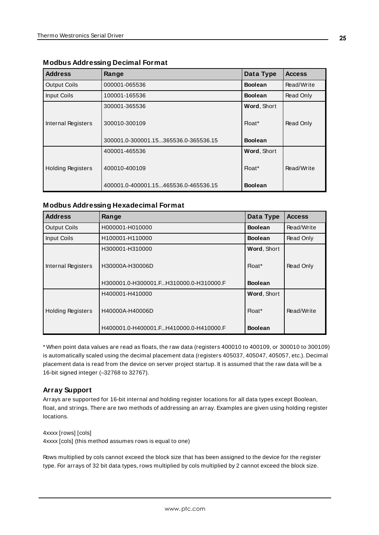| <b>Address</b>           | Range                                | Data Type          | <b>Access</b> |
|--------------------------|--------------------------------------|--------------------|---------------|
| <b>Output Coils</b>      | 000001-065536                        | <b>Boolean</b>     | Read/Write    |
| Input Coils              | 100001-165536                        | <b>Boolean</b>     | Read Only     |
|                          | 300001-365536                        | <b>Word, Short</b> |               |
| Internal Registers       | 300010-300109                        | Float*             | Read Only     |
|                          | 300001.0-300001.15365536.0-365536.15 | <b>Boolean</b>     |               |
|                          | 400001-465536                        | Word, Short        |               |
| <b>Holding Registers</b> | 400010-400109                        | $H$ oat $*$        | Read/Write    |
|                          | 400001.0-400001.15465536.0-465536.15 | <b>Boolean</b>     |               |

### **Modbus Addressing Decimal Format**

#### **Modbus Addressing Hexadecimal Format**

| <b>Address</b>           | Range                                  | Data Type          | <b>Access</b> |
|--------------------------|----------------------------------------|--------------------|---------------|
| <b>Output Coils</b>      | H000001-H010000                        | <b>Boolean</b>     | Read/Write    |
| Input Coils              | H100001-H110000                        | <b>Boolean</b>     | Read Only     |
|                          | H300001-H310000                        | <b>Word, Short</b> |               |
| Internal Registers       | Float*<br>H30000A-H30006D              |                    | Read Only     |
|                          | H300001.0-H300001.FH310000.0-H310000.F | <b>Boolean</b>     |               |
|                          | H400001-H410000                        | Word, Short        |               |
| <b>Holding Registers</b> | H40000A-H40006D                        | Float*             | Read/Write    |
|                          | H400001.0-H400001.FH410000.0-H410000.F | <b>Boolean</b>     |               |

\* When point data values are read as floats, the raw data (registers 400010 to 400109, or 300010 to 300109) is automatically scaled using the decimal placement data (registers 405037, 405047, 405057, etc.). Decimal placement data is read from the device on server project startup. It is assumed that the raw data will be a 16-bit signed integer (–32768 to 32767).

#### **Array Support**

Arrays are supported for 16-bit internal and holding register locations for all data types except Boolean, float, and strings. There are two methods of addressing an array. Examples are given using holding register locations.

4xxxx [rows] [cols] 4xxxx [cols] (this method assumes rows is equal to one)

Rows multiplied by cols cannot exceed the block size that has been assigned to the device for the register type. For arrays of 32 bit data types, rows multiplied by cols multiplied by 2 cannot exceed the block size.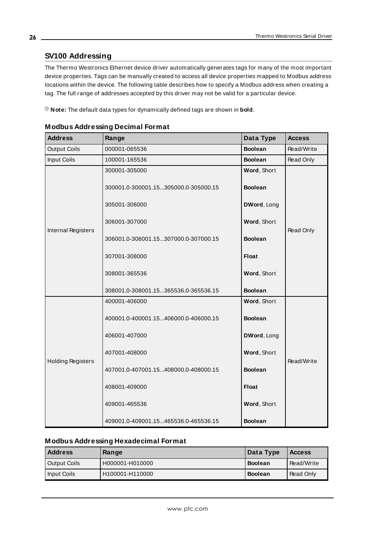## <span id="page-25-0"></span>**SV100 Addressing**

The Thermo Westronics Ethernet device driver automatically generates tags for many of the most important device properties. Tags can be manually created to access all device properties mapped to Modbus address locations within the device. The following table describes how to specify a Modbus address when creating a tag. The full range of addresses accepted by this driver may not be valid for a particular device.

**Note:** The default data types for dynamically defined tags are shown in **bold**.

| <b>Address</b>           | Range                                                 | Data Type                     | <b>Access</b> |
|--------------------------|-------------------------------------------------------|-------------------------------|---------------|
| <b>Output Coils</b>      | 000001-065536                                         | <b>Boolean</b>                | Read/Write    |
| Input Coils              | 100001-165536                                         | <b>Boolean</b>                | Read Only     |
|                          | 300001-305000<br>300001.0-300001.15305000.0-305000.15 | Word, Short<br><b>Boolean</b> |               |
|                          | 305001-306000                                         | DWord, Long                   |               |
|                          | 306001-307000                                         | Word, Short                   |               |
| Internal Registers       | 306001.0-306001.15307000.0-307000.15                  | <b>Boolean</b>                | Read Only     |
|                          | 307001-308000                                         | <b>Float</b>                  |               |
|                          | 308001-365536                                         | Word, Short                   |               |
|                          | 308001.0-308001.15365536.0-365536.15                  | <b>Boolean</b>                |               |
|                          | 400001-406000                                         | Word, Short                   |               |
|                          | 400001.0-400001.15406000.0-406000.15                  | <b>Boolean</b>                |               |
|                          | 406001-407000                                         | DWord, Long                   |               |
| <b>Holding Registers</b> | 407001-408000                                         | Word, Short                   | Read/Write    |
|                          | 407001.0-407001.15408000.0-408000.15                  | <b>Boolean</b>                |               |
|                          | 408001-409000                                         | <b>Float</b>                  |               |
|                          | 409001-465536                                         | Word, Short                   |               |
|                          | 409001.0-409001.15465536.0-465536.15                  | <b>Boolean</b>                |               |

|  |  | <b>Modbus Addressing Decimal Format</b> |  |
|--|--|-----------------------------------------|--|
|  |  |                                         |  |

#### **Modbus Addressing Hexadecimal Format**

| <b>Address</b> | Range           | Data Type      | <b>Access</b>    |
|----------------|-----------------|----------------|------------------|
| Output Coils   | H000001-H010000 | <b>Boolean</b> | Read/Write       |
| I Input Coils  | H100001-H110000 | <b>Boolean</b> | <b>Read Only</b> |

**26**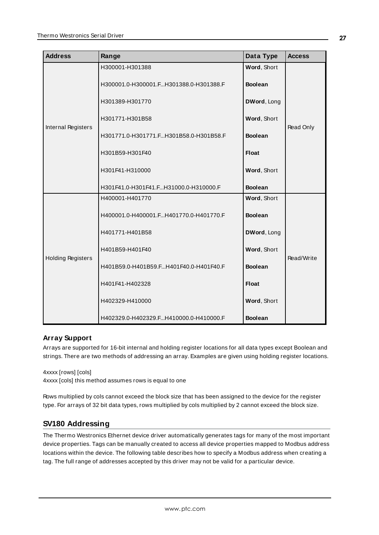| <b>Address</b>           | Range                                  | Data Type      | <b>Access</b> |
|--------------------------|----------------------------------------|----------------|---------------|
|                          | H300001-H301388                        | Word, Short    |               |
|                          | H300001.0-H300001.FH301388.0-H301388.F | <b>Boolean</b> |               |
|                          | H301389-H301770                        | DWord, Long    |               |
| Internal Registers       | H301771-H301B58                        | Word, Short    | Read Only     |
|                          | H301771.0-H301771.FH301B58.0-H301B58.F | <b>Boolean</b> |               |
|                          | H301B59-H301F40                        | <b>Float</b>   |               |
|                          | H301F41-H310000                        | Word, Short    |               |
|                          | H301F41.0-H301F41.FH31000.0-H310000.F  | <b>Boolean</b> |               |
|                          | H400001-H401770                        | Word, Short    |               |
|                          | H400001.0-H400001.FH401770.0-H401770.F | <b>Boolean</b> |               |
|                          | H401771-H401B58                        | DWord, Long    |               |
| <b>Holding Registers</b> | H401B59-H401F40                        | Word, Short    | Read/Write    |
|                          | H401B59.0-H401B59.FH401F40.0-H401F40.F | <b>Boolean</b> |               |
|                          | H401F41-H402328                        | <b>Float</b>   |               |
|                          | H402329-H410000                        | Word, Short    |               |
|                          | H402329.0-H402329.FH410000.0-H410000.F | <b>Boolean</b> |               |

#### **Array Support**

Arrays are supported for 16-bit internal and holding register locations for all data types except Boolean and strings. There are two methods of addressing an array. Examples are given using holding register locations.

4xxxx [rows] [cols] 4xxxx [cols] this method assumes rows is equal to one

Rows multiplied by cols cannot exceed the block size that has been assigned to the device for the register type. For arrays of 32 bit data types, rows multiplied by cols multiplied by 2 cannot exceed the block size.

## <span id="page-26-0"></span>**SV180 Addressing**

The Thermo Westronics Ethernet device driver automatically generates tags for many of the most important device properties. Tags can be manually created to access all device properties mapped to Modbus address locations within the device. The following table describes how to specify a Modbus address when creating a tag. The full range of addresses accepted by this driver may not be valid for a particular device.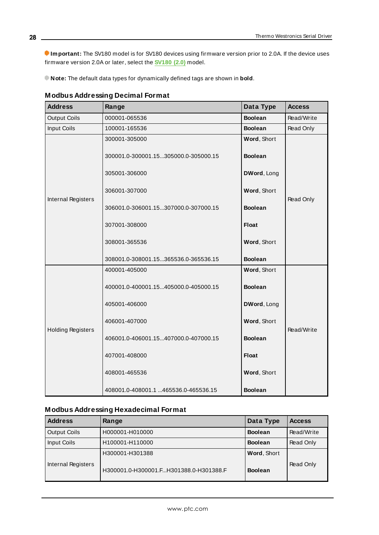**Important:** The SV180 model is for SV180 devices using firmware version prior to 2.0A. If the device uses firmware version 2.0A or later, select the **[SV180](#page-28-0) (2.0)** model.

**Note:** The default data types for dynamically defined tags are shown in **bold**.

| <b>Address</b>           | Range                                                 | Data Type                     | <b>Access</b> |
|--------------------------|-------------------------------------------------------|-------------------------------|---------------|
| <b>Output Coils</b>      | 000001-065536                                         | <b>Boolean</b>                | Read/Write    |
| Input Coils              | 100001-165536                                         | <b>Boolean</b>                | Read Only     |
|                          | 300001-305000<br>300001.0-300001.15305000.0-305000.15 | Word, Short<br><b>Boolean</b> |               |
|                          | 305001-306000                                         | DWord, Long                   |               |
| Internal Registers       | 306001-307000                                         | Word, Short                   | Read Only     |
|                          | 306001.0-306001.15307000.0-307000.15                  | <b>Boolean</b>                |               |
|                          | 307001-308000                                         | <b>Float</b>                  |               |
|                          | 308001-365536                                         | Word, Short                   |               |
|                          | 308001.0-308001.15365536.0-365536.15                  | <b>Boolean</b>                |               |
|                          | 400001-405000                                         | Word, Short                   |               |
|                          | 400001.0-400001.15405000.0-405000.15                  | <b>Boolean</b>                |               |
|                          | 405001-406000                                         | DWord, Long                   |               |
| <b>Holding Registers</b> | 406001-407000                                         | Word, Short                   | Read/Write    |
|                          | 406001.0-406001.15407000.0-407000.15                  | <b>Boolean</b>                |               |
|                          | 407001-408000                                         | <b>Float</b>                  |               |
|                          | 408001-465536                                         | Word, Short                   |               |
|                          | 408001.0-408001.1 465536.0-465536.15                  | <b>Boolean</b>                |               |

| <b>Modbus Addressing Decimal Format</b> |  |  |
|-----------------------------------------|--|--|
|                                         |  |  |

## **Modbus Addressing Hexadecimal Format**

| <b>Address</b>      | Range                                  | Data Type      | <b>Access</b> |
|---------------------|----------------------------------------|----------------|---------------|
| <b>Output Coils</b> | H000001-H010000                        | <b>Boolean</b> | Read/Write    |
| Input Coils         | H100001-H110000                        | <b>Boolean</b> | Read Only     |
|                     | H300001-H301388                        | Word, Short    |               |
| Internal Registers  | H300001.0-H300001.FH301388.0-H301388.F | <b>Boolean</b> | Read Only     |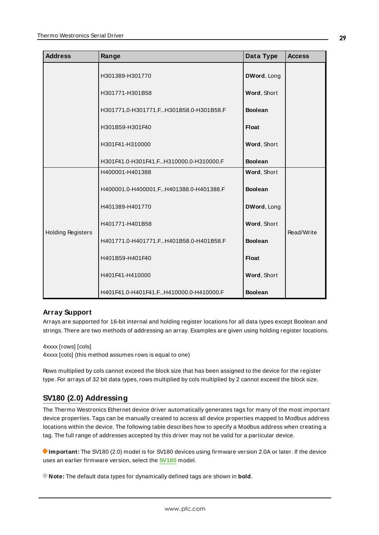| <b>Address</b>           | Range                                  | Data Type      | <b>Access</b> |
|--------------------------|----------------------------------------|----------------|---------------|
|                          | H301389-H301770                        | DWord, Long    |               |
|                          | H301771-H301B58                        | Word, Short    |               |
|                          | H301771.0-H301771.FH301B58.0-H301B58.F | <b>Boolean</b> |               |
|                          | H301B59-H301F40                        | <b>Float</b>   |               |
|                          | H301F41-H310000                        | Word, Short    |               |
|                          | H301F41.0-H301F41.FH310000.0-H310000.F | <b>Boolean</b> |               |
|                          | H400001-H401388                        | Word, Short    |               |
|                          | H400001.0-H400001.FH401388.0-H401388.F | <b>Boolean</b> |               |
|                          | H401389-H401770                        | DWord, Long    |               |
|                          | H401771-H401B58                        | Word, Short    | Read/Write    |
| <b>Holding Registers</b> | H401771.0-H401771.FH401B58.0-H401B58.F | <b>Boolean</b> |               |
|                          | H401B59-H401F40                        | <b>Float</b>   |               |
|                          | H401F41-H410000                        | Word, Short    |               |
|                          | H401F41.0-H401F41.FH410000.0-H410000.F | <b>Boolean</b> |               |

#### **Array Support**

Arrays are supported for 16-bit internal and holding register locations for all data types except Boolean and strings. There are two methods of addressing an array. Examples are given using holding register locations.

4xxxx [rows] [cols]

4xxxx [cols] (this method assumes rows is equal to one)

Rows multiplied by cols cannot exceed the block size that has been assigned to the device for the register type. For arrays of 32 bit data types, rows multiplied by cols multiplied by 2 cannot exceed the block size.

## <span id="page-28-0"></span>**SV180 (2.0) Addressing**

The Thermo Westronics Ethernet device driver automatically generates tags for many of the most important device properties. Tags can be manually created to access all device properties mapped to Modbus address locations within the device. The following table describes how to specify a Modbus address when creating a tag. The full range of addresses accepted by this driver may not be valid for a particular device.

**Important:** The SV180 (2.0) model is for SV180 devices using firmware version 2.0A or later. If the device uses an earlier firmware version, select the **[SV180](#page-26-0)** model.

**Note:** The default data types for dynamically defined tags are shown in **bold**.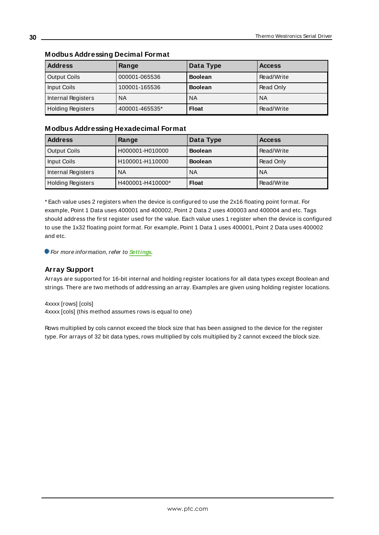| <b>Address</b>           | Range          | Data Type      | <b>Access</b> |
|--------------------------|----------------|----------------|---------------|
| Output Coils             | 000001-065536  | <b>Boolean</b> | Read/Write    |
| Input Coils              | 100001-165536  | <b>Boolean</b> | Read Only     |
| Internal Registers       | <b>NA</b>      | <b>NA</b>      | <b>NA</b>     |
| <b>Holding Registers</b> | 400001-465535* | <b>Float</b>   | Read/Write    |

#### **Modbus Addressing Decimal Format**

## **Modbus Addressing Hexadecimal Format**

| <b>Address</b>           | Range            | Data Type      | <b>Access</b> |
|--------------------------|------------------|----------------|---------------|
| <b>Output Coils</b>      | H000001-H010000  | <b>Boolean</b> | Read/Write    |
| Input Coils              | H100001-H110000  | <b>Boolean</b> | Read Only     |
| Internal Registers       | <b>NA</b>        | <b>NA</b>      | <b>NA</b>     |
| <b>Holding Registers</b> | H400001-H410000* | <b>Float</b>   | Read/Write    |

\* Each value uses 2 registers when the device is configured to use the 2x16 floating point format. For example, Point 1 Data uses 400001 and 400002, Point 2 Data 2 uses 400003 and 400004 and etc. Tags should address the first register used for the value. Each value uses 1 register when the device is configured to use the 1x32 floating point format. For example, Point 1 Data 1 uses 400001, Point 2 Data uses 400002 and etc.

**For more information, refer to [Settings](#page-16-1).** 

#### **Array Support**

Arrays are supported for 16-bit internal and holding register locations for all data types except Boolean and strings. There are two methods of addressing an array. Examples are given using holding register locations.

4xxxx [rows] [cols] 4xxxx [cols] (this method assumes rows is equal to one)

Rows multiplied by cols cannot exceed the block size that has been assigned to the device for the register type. For arrays of 32 bit data types, rows multiplied by cols multiplied by 2 cannot exceed the block size.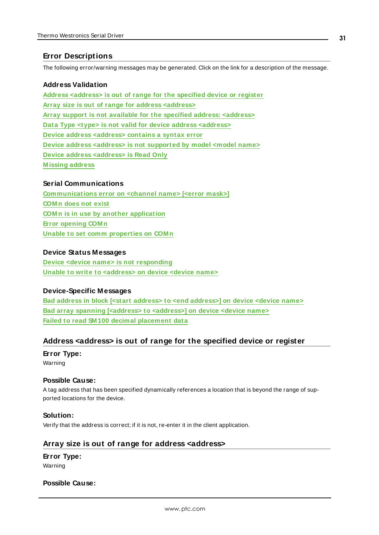### <span id="page-30-0"></span>**Error Descriptions**

The following error/warning messages may be generated. Click on the link for a description of the message.

#### **Address Validation**

**Address [<address>](#page-30-1) is out of range for the specified device or register Array size is out of range for address [<address>](#page-30-2) Array support is not available for the specified address: [<address>](#page-31-0) Data Type <type> is not valid for device address [<address>](#page-31-1) Device address [<address>](#page-31-2) contains a syntax error Device address <address> is not [supported](#page-31-3) by model <model name> Device address [<address>](#page-32-0) is Read Only [M issing](#page-32-1) address**

#### **Serial Communications**

**[Communications](#page-32-2) error on <channel name> [<error mask>] [COM n](#page-33-0) does not exist COM n is in use by another [application](#page-33-1) Error [opening](#page-33-2) COM n Unable to set comm [properties](#page-33-3) on COM n**

#### **Device Status Messages**

**Device <device name> is not [responding](#page-34-0) Unable to write to [<address>](#page-34-1) on device <device name>**

#### **Device-Specific Messages**

**Bad address in block [<start address> to <end [address>\]](#page-34-2) on device <device name> Bad array spanning [<address> to [<address>\]](#page-35-0) on device <device name> Failed to read SM 100 decimal [placement](#page-35-1) data**

#### <span id="page-30-1"></span>**Address <address> is out of range for the specified device or register**

#### **Error Type:**

Warning

#### **Possible Cause:**

A tag address that has been specified dynamically references a location that is beyond the range of supported locations for the device.

#### **Solution:**

<span id="page-30-2"></span>Verify that the address is correct; if it is not, re-enter it in the client application.

#### **Array size is out of range for address <address>**

**Error Type:** Warning

#### **Possible Cause:**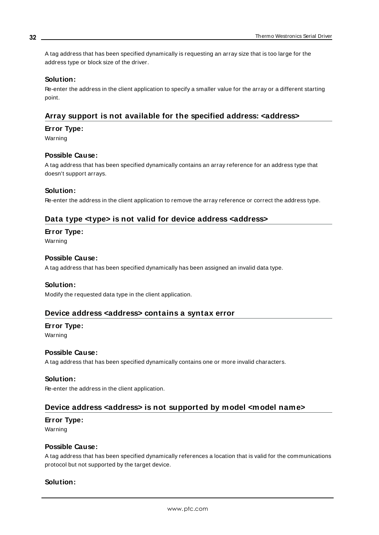A tag address that has been specified dynamically is requesting an array size that is too large for the address type or block size of the driver.

#### **Solution:**

Re-enter the address in the client application to specify a smaller value for the array or a different starting point.

### <span id="page-31-0"></span>**Array support is not available for the specified address: <address>**

#### **Error Type:**

Warning

#### **Possible Cause:**

A tag address that has been specified dynamically contains an array reference for an address type that doesn't support arrays.

#### **Solution:**

<span id="page-31-1"></span>Re-enter the address in the client application to remove the array reference or correct the address type.

### **Data type <type> is not valid for device address <address>**

#### **Error Type:**

Warning

#### **Possible Cause:**

A tag address that has been specified dynamically has been assigned an invalid data type.

#### **Solution:**

<span id="page-31-2"></span>Modify the requested data type in the client application.

#### **Device address <address> contains a syntax error**

## **Error Type:**

Warning

#### **Possible Cause:**

A tag address that has been specified dynamically contains one or more invalid characters.

#### **Solution:**

<span id="page-31-3"></span>Re-enter the address in the client application.

#### **Device address <address> is not supported by model <model name>**

#### **Error Type:**

Warning

#### **Possible Cause:**

A tag address that has been specified dynamically references a location that is valid for the communications protocol but not supported by the target device.

#### **Solution:**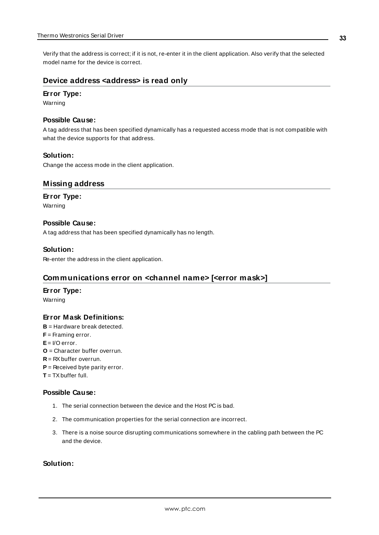Verify that the address is correct; if it is not, re-enter it in the client application. Also verify that the selected model name for the device is correct.

#### <span id="page-32-0"></span>**Device address <address> is read only**

#### **Error Type:**

Warning

#### **Possible Cause:**

A tag address that has been specified dynamically has a requested access mode that is not compatible with what the device supports for that address.

#### **Solution:**

<span id="page-32-1"></span>Change the access mode in the client application.

#### **Missing address**

#### **Error Type:**

Warning

#### **Possible Cause:**

A tag address that has been specified dynamically has no length.

#### **Solution:**

<span id="page-32-2"></span>Re-enter the address in the client application.

#### **Communications error on <channel name> [<error mask>]**

#### **Error Type:**

Warning

#### **Error Mask Definitions:**

- <span id="page-32-3"></span>**B** = Hardware break detected.
- **F** = Framing error.
- <span id="page-32-4"></span>**E**= I/O error.
- **O** = Character buffer overrun.
- <span id="page-32-5"></span>**R** = RXbuffer overrun.
- **P** = Received byte parity error.
- **T** = TXbuffer full.

#### **Possible Cause:**

- 1. The serial connection between the device and the Host PC is bad.
- 2. The communication properties for the serial connection are incorrect.
- 3. There is a noise source disrupting communications somewhere in the cabling path between the PC and the device.

#### **Solution:**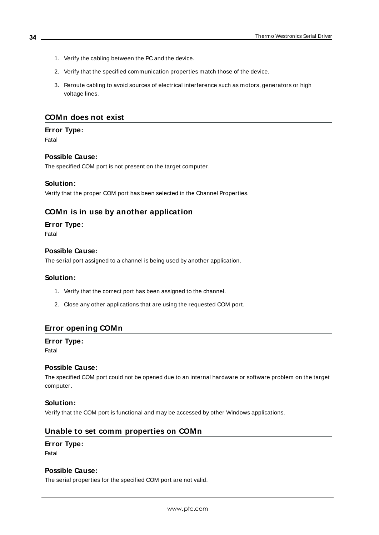- 1. Verify the cabling between the PC and the device.
- 2. Verify that the specified communication properties match those of the device.
- 3. Reroute cabling to avoid sources of electrical interference such as motors, generators or high voltage lines.

#### <span id="page-33-0"></span>**COMn does not exist**

#### **Error Type:**

Fatal

#### **Possible Cause:**

The specified COM port is not present on the target computer.

#### **Solution:**

<span id="page-33-1"></span>Verify that the proper COM port has been selected in the Channel Properties.

#### **COMn is in use by another application**

#### **Error Type:**

Fatal

#### **Possible Cause:**

The serial port assigned to a channel is being used by another application.

#### **Solution:**

- 1. Verify that the correct port has been assigned to the channel.
- 2. Close any other applications that are using the requested COM port.

#### <span id="page-33-2"></span>**Error opening COMn**

#### **Error Type:**

Fatal

#### **Possible Cause:**

The specified COM port could not be opened due to an internal hardware or software problem on the target computer.

#### **Solution:**

<span id="page-33-3"></span>Verify that the COM port is functional and may be accessed by other Windows applications.

#### **Unable to set comm properties on COMn**

#### **Error Type:**

Fatal

#### **Possible Cause:**

The serial properties for the specified COM port are not valid.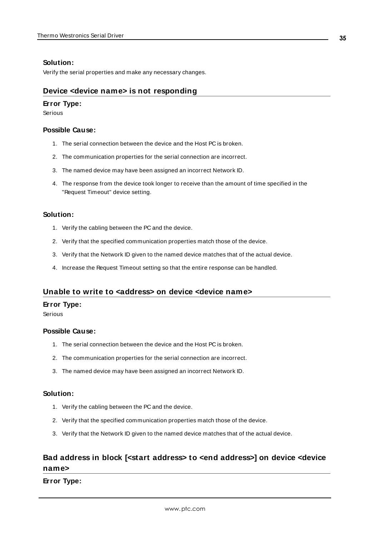#### **Solution:**

<span id="page-34-0"></span>Verify the serial properties and make any necessary changes.

#### **Device <device name> is not responding**

#### **Error Type:**

Serious

#### **Possible Cause:**

- 1. The serial connection between the device and the Host PC is broken.
- 2. The communication properties for the serial connection are incorrect.
- 3. The named device may have been assigned an incorrect Network ID.
- 4. The response from the device took longer to receive than the amount of time specified in the "Request Timeout" device setting.

#### **Solution:**

- 1. Verify the cabling between the PC and the device.
- 2. Verify that the specified communication properties match those of the device.
- 3. Verify that the Network ID given to the named device matches that of the actual device.
- 4. Increase the Request Timeout setting so that the entire response can be handled.

#### <span id="page-34-1"></span>**Unable to write to <address> on device <device name>**

#### **Error Type:**

Serious

#### **Possible Cause:**

- 1. The serial connection between the device and the Host PC is broken.
- 2. The communication properties for the serial connection are incorrect.
- 3. The named device may have been assigned an incorrect Network ID.

#### **Solution:**

- 1. Verify the cabling between the PC and the device.
- 2. Verify that the specified communication properties match those of the device.
- 3. Verify that the Network ID given to the named device matches that of the actual device.

## <span id="page-34-2"></span>**Bad address in block [<start address> to <end address>] on device <device name>**

**Error Type:**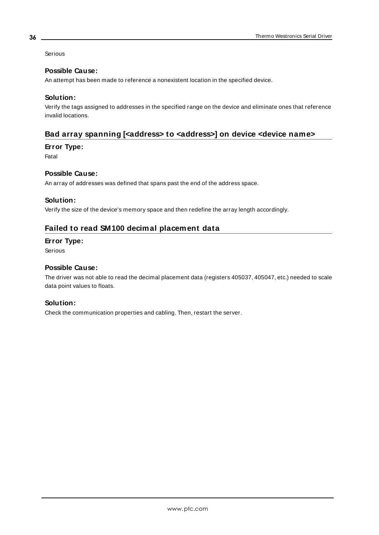Serious

#### **Possible Cause:**

An attempt has been made to reference a nonexistent location in the specified device.

#### **Solution:**

Verify the tags assigned to addresses in the specified range on the device and eliminate ones that reference invalid locations.

#### <span id="page-35-0"></span>**Bad array spanning [<address> to <address>] on device <device name>**

#### **Error Type:**

Fatal

#### **Possible Cause:**

An array of addresses was defined that spans past the end of the address space.

#### **Solution:**

<span id="page-35-1"></span>Verify the size of the device's memory space and then redefine the array length accordingly.

### **Failed to read SM100 decimal placement data**

#### **Error Type:**

Serious

#### **Possible Cause:**

The driver was not able to read the decimal placement data (registers 405037, 405047, etc.) needed to scale data point values to floats.

#### **Solution:**

Check the communication properties and cabling. Then, restart the server.

**36**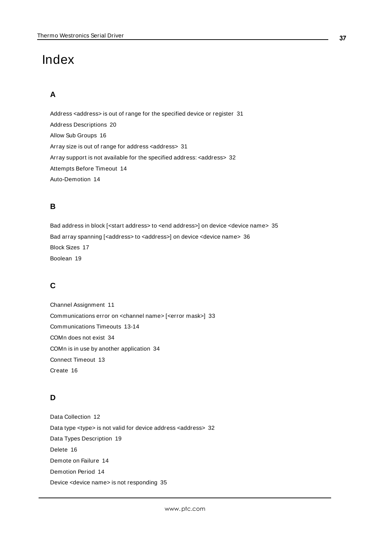# <span id="page-36-0"></span>Index

## **A**

Address <address> is out of range for the specified device or register [31](#page-30-1) Address Descriptions [20](#page-19-0) Allow Sub Groups [16](#page-15-0) Array size is out of range for address <address> [31](#page-30-2) Array support is not available for the specified address: <address> [32](#page-31-0) Attempts Before Timeout [14](#page-13-1) Auto-Demotion [14](#page-13-0)

## **B**

Bad address in block [<start address> to <end address>] on device <device name> [35](#page-34-2) Bad array spanning [<address> to <address>] on device <device name> [36](#page-35-0) Block Sizes [17](#page-16-0) Boolean [19](#page-18-1)

## **C**

Channel Assignment [11](#page-10-1) Communications error on <channel name> [<error mask>] [33](#page-32-2) Communications Timeouts [13-14](#page-12-1) COMn does not exist [34](#page-33-0) COMn is in use by another application [34](#page-33-1) Connect Timeout [13](#page-12-2) Create [16](#page-15-1)

## **D**

Data Collection [12](#page-11-2) Data type <type> is not valid for device address <address> [32](#page-31-1) Data Types Description [19](#page-18-0) Delete [16](#page-15-2) Demote on Failure [14](#page-13-2) Demotion Period [14](#page-13-3) Device <device name> is not responding [35](#page-34-0)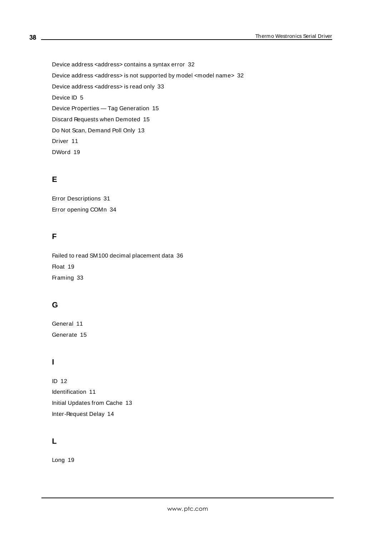Device address <address> contains a syntax error [32](#page-31-2) Device address <address> is not supported by model <model name> [32](#page-31-3) Device address <address> is read only [33](#page-32-0) Device ID [5](#page-4-1) Device Properties — Tag Generation [15](#page-14-0) Discard Requests when Demoted [15](#page-14-1) Do Not Scan, Demand Poll Only [13](#page-12-3) Driver [11](#page-10-2) DWord [19](#page-18-2)

## **E**

Error Descriptions [31](#page-30-0) Error opening COMn [34](#page-33-2)

## **F**

Failed to read SM100 decimal placement data [36](#page-35-1) Float [19](#page-18-3) Framing [33](#page-32-3)

## **G**

General [11](#page-10-0) Generate [15](#page-14-2)

## **I**

ID [12](#page-11-3) Identification [11](#page-10-0) Initial Updates from Cache [13](#page-12-4) Inter-Request Delay [14](#page-13-4)

## **L**

Long [19](#page-18-4)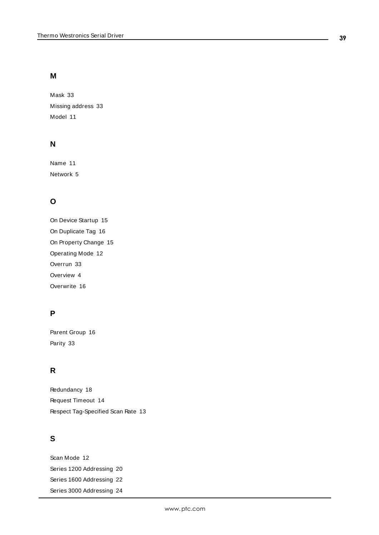## **M**

Mask [33](#page-32-2) Missing address [33](#page-32-1) Model [11](#page-10-3)

## **N**

Name [11](#page-10-4) Network [5](#page-4-2)

## **O**

On Device Startup [15](#page-14-3) On Duplicate Tag [16](#page-15-3) On Property Change [15](#page-14-4) Operating Mode [12](#page-11-0) Overrun [33](#page-32-4) Overview [4](#page-3-1) Overwrite [16](#page-15-4)

## **P**

Parent Group [16](#page-15-5) Parity [33](#page-32-5)

## **R**

Redundancy [18](#page-17-0) Request Timeout [14](#page-13-5) Respect Tag-Specified Scan Rate [13](#page-12-5)

## **S**

Scan Mode [12](#page-11-4) Series 1200 Addressing [20](#page-19-1) Series 1600 Addressing [22](#page-21-0) Series 3000 Addressing [24](#page-23-0)